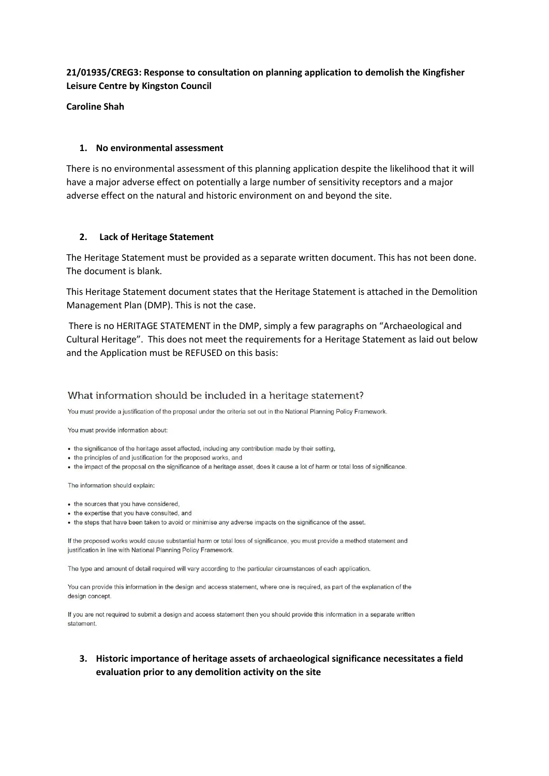### **21/01935/CREG3: Response to consultation on planning application to demolish the Kingfisher Leisure Centre by Kingston Council**

#### **Caroline Shah**

#### **1. No environmental assessment**

There is no environmental assessment of this planning application despite the likelihood that it will have a major adverse effect on potentially a large number of sensitivity receptors and a major adverse effect on the natural and historic environment on and beyond the site.

#### **2. Lack of Heritage Statement**

The Heritage Statement must be provided as a separate written document. This has not been done. The document is blank.

This Heritage Statement document states that the Heritage Statement is attached in the Demolition Management Plan (DMP). This is not the case.

There is no HERITAGE STATEMENT in the DMP, simply a few paragraphs on "Archaeological and Cultural Heritage". This does not meet the requirements for a Heritage Statement as laid out below and the Application must be REFUSED on this basis:

### What information should be included in a heritage statement?

You must provide a justification of the proposal under the criteria set out in the National Planning Policy Framework.

You must provide information about:

- . the significance of the heritage asset affected, including any contribution made by their setting,
- the principles of and justification for the proposed works, and
- . the impact of the proposal on the significance of a heritage asset, does it cause a lot of harm or total loss of significance.

The information should explain:

- the sources that you have considered,
- . the expertise that you have consulted, and
- . the steps that have been taken to avoid or minimise any adverse impacts on the significance of the asset.

If the proposed works would cause substantial harm or total loss of significance, you must provide a method statement and justification in line with National Planning Policy Framework.

The type and amount of detail required will vary according to the particular circumstances of each application.

You can provide this information in the design and access statement, where one is required, as part of the explanation of the design concept.

If you are not required to submit a design and access statement then you should provide this information in a separate written statement.

### **3. Historic importance of heritage assets of archaeological significance necessitates a field evaluation prior to any demolition activity on the site**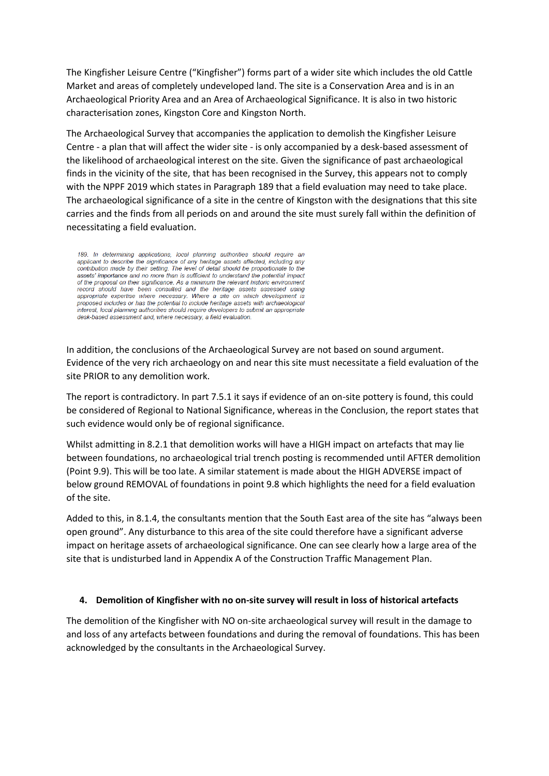The Kingfisher Leisure Centre ("Kingfisher") forms part of a wider site which includes the old Cattle Market and areas of completely undeveloped land. The site is a Conservation Area and is in an Archaeological Priority Area and an Area of Archaeological Significance. It is also in two historic characterisation zones, Kingston Core and Kingston North.

The Archaeological Survey that accompanies the application to demolish the Kingfisher Leisure Centre - a plan that will affect the wider site - is only accompanied by a desk-based assessment of the likelihood of archaeological interest on the site. Given the significance of past archaeological finds in the vicinity of the site, that has been recognised in the Survey, this appears not to comply with the NPPF 2019 which states in Paragraph 189 that a field evaluation may need to take place. The archaeological significance of a site in the centre of Kingston with the designations that this site carries and the finds from all periods on and around the site must surely fall within the definition of necessitating a field evaluation.

189. In determining applications, local planning authorities should require an applicant to describe the significance of any heritage assets affected, including any contribution made by their setting. The level of detail should be proportionate to the assets' importance and no more than is sufficient to understand the potential impact of the proposal on their significance. As a minimum the relevant historic environment record should have been consulted and the heritage assets assessed using appropriate expertise where necessary. Where a site on which development is proposed includes or has the potential to include heritage assets with archaeological interest, local planning authorities should require developers to submit an appropriate desk-based assessment and, where necessary, a field evaluation.

In addition, the conclusions of the Archaeological Survey are not based on sound argument. Evidence of the very rich archaeology on and near this site must necessitate a field evaluation of the site PRIOR to any demolition work.

The report is contradictory. In part 7.5.1 it says if evidence of an on-site pottery is found, this could be considered of Regional to National Significance, whereas in the Conclusion, the report states that such evidence would only be of regional significance.

Whilst admitting in 8.2.1 that demolition works will have a HIGH impact on artefacts that may lie between foundations, no archaeological trial trench posting is recommended until AFTER demolition (Point 9.9). This will be too late. A similar statement is made about the HIGH ADVERSE impact of below ground REMOVAL of foundations in point 9.8 which highlights the need for a field evaluation of the site.

Added to this, in 8.1.4, the consultants mention that the South East area of the site has "always been open ground". Any disturbance to this area of the site could therefore have a significant adverse impact on heritage assets of archaeological significance. One can see clearly how a large area of the site that is undisturbed land in Appendix A of the Construction Traffic Management Plan.

#### **4. Demolition of Kingfisher with no on-site survey will result in loss of historical artefacts**

The demolition of the Kingfisher with NO on-site archaeological survey will result in the damage to and loss of any artefacts between foundations and during the removal of foundations. This has been acknowledged by the consultants in the Archaeological Survey.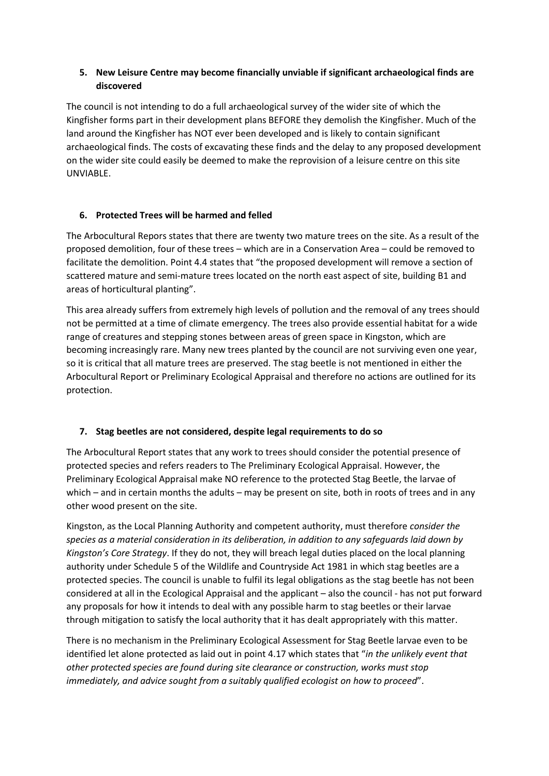## **5. New Leisure Centre may become financially unviable if significant archaeological finds are discovered**

The council is not intending to do a full archaeological survey of the wider site of which the Kingfisher forms part in their development plans BEFORE they demolish the Kingfisher. Much of the land around the Kingfisher has NOT ever been developed and is likely to contain significant archaeological finds. The costs of excavating these finds and the delay to any proposed development on the wider site could easily be deemed to make the reprovision of a leisure centre on this site UNVIABLE.

## **6. Protected Trees will be harmed and felled**

The Arbocultural Repors states that there are twenty two mature trees on the site. As a result of the proposed demolition, four of these trees – which are in a Conservation Area – could be removed to facilitate the demolition. Point 4.4 states that "the proposed development will remove a section of scattered mature and semi-mature trees located on the north east aspect of site, building B1 and areas of horticultural planting".

This area already suffers from extremely high levels of pollution and the removal of any trees should not be permitted at a time of climate emergency. The trees also provide essential habitat for a wide range of creatures and stepping stones between areas of green space in Kingston, which are becoming increasingly rare. Many new trees planted by the council are not surviving even one year, so it is critical that all mature trees are preserved. The stag beetle is not mentioned in either the Arbocultural Report or Preliminary Ecological Appraisal and therefore no actions are outlined for its protection.

### **7. Stag beetles are not considered, despite legal requirements to do so**

The Arbocultural Report states that any work to trees should consider the potential presence of protected species and refers readers to The Preliminary Ecological Appraisal. However, the Preliminary Ecological Appraisal make NO reference to the protected Stag Beetle, the larvae of which – and in certain months the adults – may be present on site, both in roots of trees and in any other wood present on the site.

Kingston, as the Local Planning Authority and competent authority, must therefore *consider the species as a material consideration in its deliberation, in addition to any safeguards laid down by Kingston's Core Strategy*. If they do not, they will breach legal duties placed on the local planning authority under Schedule 5 of the Wildlife and Countryside Act 1981 in which stag beetles are a protected species. The council is unable to fulfil its legal obligations as the stag beetle has not been considered at all in the Ecological Appraisal and the applicant – also the council - has not put forward any proposals for how it intends to deal with any possible harm to stag beetles or their larvae through mitigation to satisfy the local authority that it has dealt appropriately with this matter.

There is no mechanism in the Preliminary Ecological Assessment for Stag Beetle larvae even to be identified let alone protected as laid out in point 4.17 which states that "*in the unlikely event that other protected species are found during site clearance or construction, works must stop immediately, and advice sought from a suitably qualified ecologist on how to proceed*".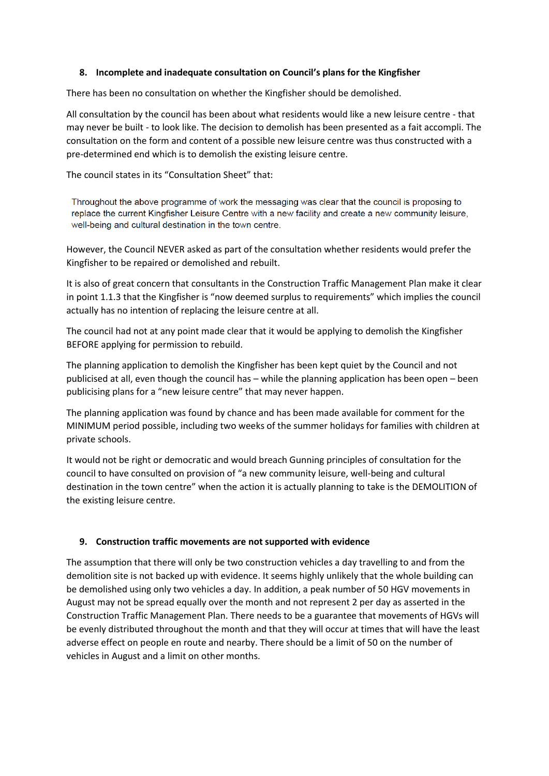### **8. Incomplete and inadequate consultation on Council's plans for the Kingfisher**

There has been no consultation on whether the Kingfisher should be demolished.

All consultation by the council has been about what residents would like a new leisure centre - that may never be built - to look like. The decision to demolish has been presented as a fait accompli. The consultation on the form and content of a possible new leisure centre was thus constructed with a pre-determined end which is to demolish the existing leisure centre.

The council states in its "Consultation Sheet" that:

Throughout the above programme of work the messaging was clear that the council is proposing to replace the current Kingfisher Leisure Centre with a new facility and create a new community leisure, well-being and cultural destination in the town centre.

However, the Council NEVER asked as part of the consultation whether residents would prefer the Kingfisher to be repaired or demolished and rebuilt.

It is also of great concern that consultants in the Construction Traffic Management Plan make it clear in point 1.1.3 that the Kingfisher is "now deemed surplus to requirements" which implies the council actually has no intention of replacing the leisure centre at all.

The council had not at any point made clear that it would be applying to demolish the Kingfisher BEFORE applying for permission to rebuild.

The planning application to demolish the Kingfisher has been kept quiet by the Council and not publicised at all, even though the council has – while the planning application has been open – been publicising plans for a "new leisure centre" that may never happen.

The planning application was found by chance and has been made available for comment for the MINIMUM period possible, including two weeks of the summer holidays for families with children at private schools.

It would not be right or democratic and would breach Gunning principles of consultation for the council to have consulted on provision of "a new community leisure, well-being and cultural destination in the town centre" when the action it is actually planning to take is the DEMOLITION of the existing leisure centre.

### **9. Construction traffic movements are not supported with evidence**

The assumption that there will only be two construction vehicles a day travelling to and from the demolition site is not backed up with evidence. It seems highly unlikely that the whole building can be demolished using only two vehicles a day. In addition, a peak number of 50 HGV movements in August may not be spread equally over the month and not represent 2 per day as asserted in the Construction Traffic Management Plan. There needs to be a guarantee that movements of HGVs will be evenly distributed throughout the month and that they will occur at times that will have the least adverse effect on people en route and nearby. There should be a limit of 50 on the number of vehicles in August and a limit on other months.